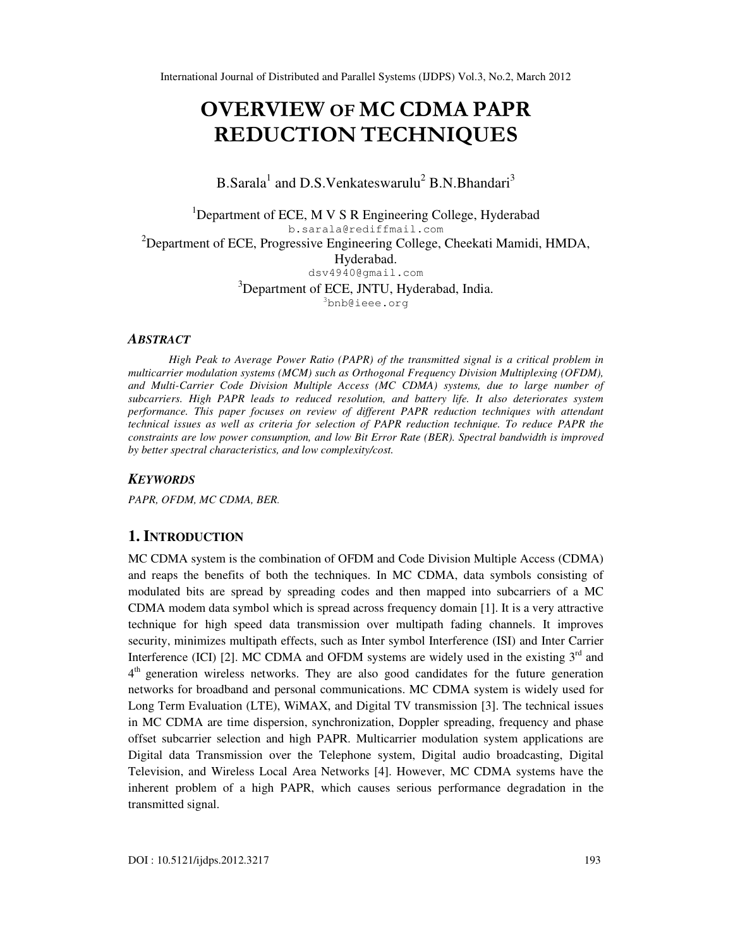# OVERVIEW OF MC CDMA PAPR REDUCTION TECHNIQUES

B.Sarala<sup>1</sup> and D.S.Venkateswarulu<sup>2</sup> B.N.Bhandari<sup>3</sup>

<sup>1</sup>Department of ECE, M V S R Engineering College, Hyderabad b.sarala@rediffmail.com <sup>2</sup>Department of ECE, Progressive Engineering College, Cheekati Mamidi, HMDA, Hyderabad. dsv4940@gmail.com <sup>3</sup>Department of ECE, JNTU, Hyderabad, India. <sup>3</sup>bnb@ieee.org

#### *ABSTRACT*

*High Peak to Average Power Ratio (PAPR) of the transmitted signal is a critical problem in multicarrier modulation systems (MCM) such as Orthogonal Frequency Division Multiplexing (OFDM), and Multi-Carrier Code Division Multiple Access (MC CDMA) systems, due to large number of subcarriers. High PAPR leads to reduced resolution, and battery life. It also deteriorates system performance. This paper focuses on review of different PAPR reduction techniques with attendant technical issues as well as criteria for selection of PAPR reduction technique. To reduce PAPR the constraints are low power consumption, and low Bit Error Rate (BER). Spectral bandwidth is improved by better spectral characteristics, and low complexity/cost.* 

#### *KEYWORDS*

*PAPR, OFDM, MC CDMA, BER.*

#### **1. INTRODUCTION**

MC CDMA system is the combination of OFDM and Code Division Multiple Access (CDMA) and reaps the benefits of both the techniques. In MC CDMA, data symbols consisting of modulated bits are spread by spreading codes and then mapped into subcarriers of a MC CDMA modem data symbol which is spread across frequency domain [1]. It is a very attractive technique for high speed data transmission over multipath fading channels. It improves security, minimizes multipath effects, such as Inter symbol Interference (ISI) and Inter Carrier Interference (ICI) [2]. MC CDMA and OFDM systems are widely used in the existing  $3<sup>rd</sup>$  and 4<sup>th</sup> generation wireless networks. They are also good candidates for the future generation networks for broadband and personal communications. MC CDMA system is widely used for Long Term Evaluation (LTE), WiMAX, and Digital TV transmission [3]. The technical issues in MC CDMA are time dispersion, synchronization, Doppler spreading, frequency and phase offset subcarrier selection and high PAPR. Multicarrier modulation system applications are Digital data Transmission over the Telephone system, Digital audio broadcasting, Digital Television, and Wireless Local Area Networks [4]. However, MC CDMA systems have the inherent problem of a high PAPR, which causes serious performance degradation in the transmitted signal.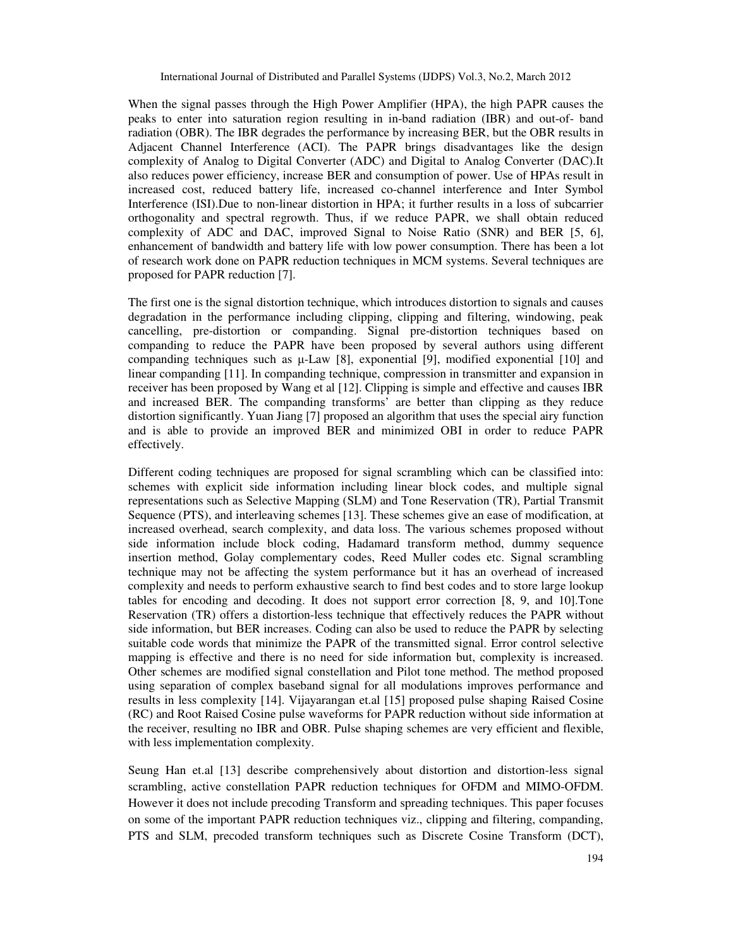When the signal passes through the High Power Amplifier (HPA), the high PAPR causes the peaks to enter into saturation region resulting in in-band radiation (IBR) and out-of- band radiation (OBR). The IBR degrades the performance by increasing BER, but the OBR results in Adjacent Channel Interference (ACI). The PAPR brings disadvantages like the design complexity of Analog to Digital Converter (ADC) and Digital to Analog Converter (DAC).It also reduces power efficiency, increase BER and consumption of power. Use of HPAs result in increased cost, reduced battery life, increased co-channel interference and Inter Symbol Interference (ISI).Due to non-linear distortion in HPA; it further results in a loss of subcarrier orthogonality and spectral regrowth. Thus, if we reduce PAPR, we shall obtain reduced complexity of ADC and DAC, improved Signal to Noise Ratio (SNR) and BER [5, 6], enhancement of bandwidth and battery life with low power consumption. There has been a lot of research work done on PAPR reduction techniques in MCM systems. Several techniques are proposed for PAPR reduction [7].

The first one is the signal distortion technique, which introduces distortion to signals and causes degradation in the performance including clipping, clipping and filtering, windowing, peak cancelling, pre-distortion or companding. Signal pre-distortion techniques based on companding to reduce the PAPR have been proposed by several authors using different companding techniques such as  $\mu$ -Law [8], exponential [9], modified exponential [10] and linear companding [11]. In companding technique, compression in transmitter and expansion in receiver has been proposed by Wang et al [12]. Clipping is simple and effective and causes IBR and increased BER. The companding transforms' are better than clipping as they reduce distortion significantly. Yuan Jiang [7] proposed an algorithm that uses the special airy function and is able to provide an improved BER and minimized OBI in order to reduce PAPR effectively.

Different coding techniques are proposed for signal scrambling which can be classified into: schemes with explicit side information including linear block codes, and multiple signal representations such as Selective Mapping (SLM) and Tone Reservation (TR), Partial Transmit Sequence (PTS), and interleaving schemes [13]. These schemes give an ease of modification, at increased overhead, search complexity, and data loss. The various schemes proposed without side information include block coding, Hadamard transform method, dummy sequence insertion method, Golay complementary codes, Reed Muller codes etc. Signal scrambling technique may not be affecting the system performance but it has an overhead of increased complexity and needs to perform exhaustive search to find best codes and to store large lookup tables for encoding and decoding. It does not support error correction [8, 9, and 10].Tone Reservation (TR) offers a distortion-less technique that effectively reduces the PAPR without side information, but BER increases. Coding can also be used to reduce the PAPR by selecting suitable code words that minimize the PAPR of the transmitted signal. Error control selective mapping is effective and there is no need for side information but, complexity is increased. Other schemes are modified signal constellation and Pilot tone method. The method proposed using separation of complex baseband signal for all modulations improves performance and results in less complexity [14]. Vijayarangan et.al [15] proposed pulse shaping Raised Cosine (RC) and Root Raised Cosine pulse waveforms for PAPR reduction without side information at the receiver, resulting no IBR and OBR. Pulse shaping schemes are very efficient and flexible, with less implementation complexity.

Seung Han et.al [13] describe comprehensively about distortion and distortion-less signal scrambling, active constellation PAPR reduction techniques for OFDM and MIMO-OFDM. However it does not include precoding Transform and spreading techniques. This paper focuses on some of the important PAPR reduction techniques viz., clipping and filtering, companding, PTS and SLM, precoded transform techniques such as Discrete Cosine Transform (DCT),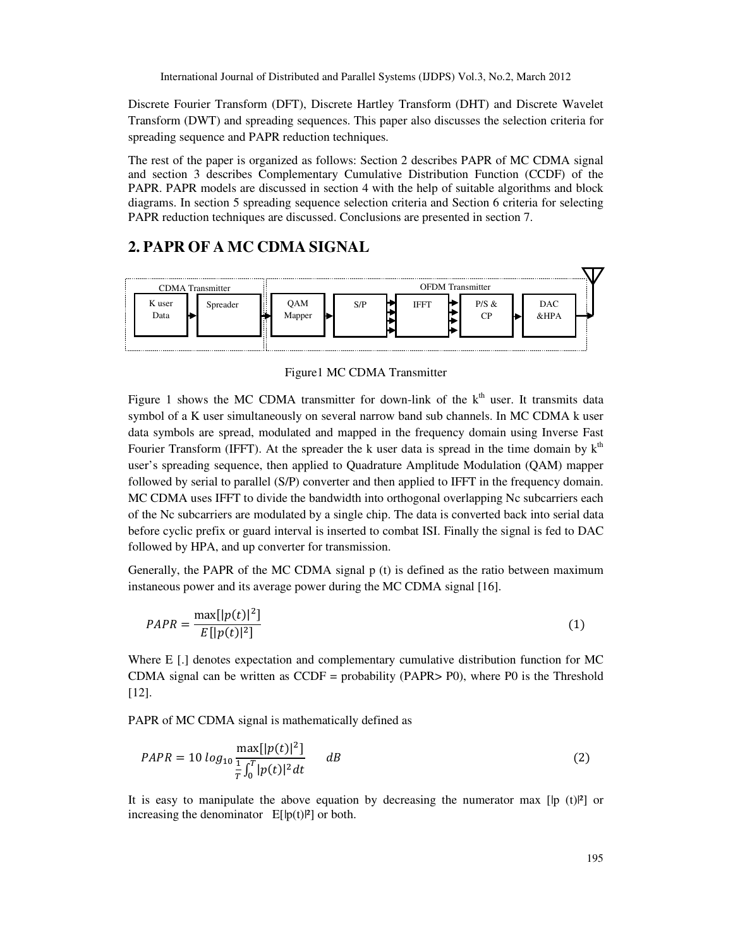Discrete Fourier Transform (DFT), Discrete Hartley Transform (DHT) and Discrete Wavelet Transform (DWT) and spreading sequences. This paper also discusses the selection criteria for spreading sequence and PAPR reduction techniques.

The rest of the paper is organized as follows: Section 2 describes PAPR of MC CDMA signal and section 3 describes Complementary Cumulative Distribution Function (CCDF) of the PAPR. PAPR models are discussed in section 4 with the help of suitable algorithms and block diagrams. In section 5 spreading sequence selection criteria and Section 6 criteria for selecting PAPR reduction techniques are discussed. Conclusions are presented in section 7.

# **2. PAPR OF A MC CDMA SIGNAL**



Figure1 MC CDMA Transmitter

Figure 1 shows the MC CDMA transmitter for down-link of the  $k<sup>th</sup>$  user. It transmits data symbol of a K user simultaneously on several narrow band sub channels. In MC CDMA k user data symbols are spread, modulated and mapped in the frequency domain using Inverse Fast Fourier Transform (IFFT). At the spreader the k user data is spread in the time domain by  $k<sup>th</sup>$ user's spreading sequence, then applied to Quadrature Amplitude Modulation (QAM) mapper followed by serial to parallel (S/P) converter and then applied to IFFT in the frequency domain. MC CDMA uses IFFT to divide the bandwidth into orthogonal overlapping Nc subcarriers each of the Nc subcarriers are modulated by a single chip. The data is converted back into serial data before cyclic prefix or guard interval is inserted to combat ISI. Finally the signal is fed to DAC followed by HPA, and up converter for transmission.

Generally, the PAPR of the MC CDMA signal  $p(t)$  is defined as the ratio between maximum instaneous power and its average power during the MC CDMA signal [16].

$$
PAPR = \frac{\max[|p(t)|^2]}{E[|p(t)|^2]}
$$
\n
$$
\tag{1}
$$

Where E [.] denotes expectation and complementary cumulative distribution function for MC CDMA signal can be written as  $CCDF =$  probability (PAPR> P0), where P0 is the Threshold [12].

PAPR of MC CDMA signal is mathematically defined as

$$
PAPR = 10 \log_{10} \frac{\max[|p(t)|^2]}{\frac{1}{T} \int_0^T |p(t)|^2 dt} dB
$$
 (2)

It is easy to manipulate the above equation by decreasing the numerator max  $[|p(t)|^2]$  or increasing the denominator  $E[|p(t)|^2]$  or both.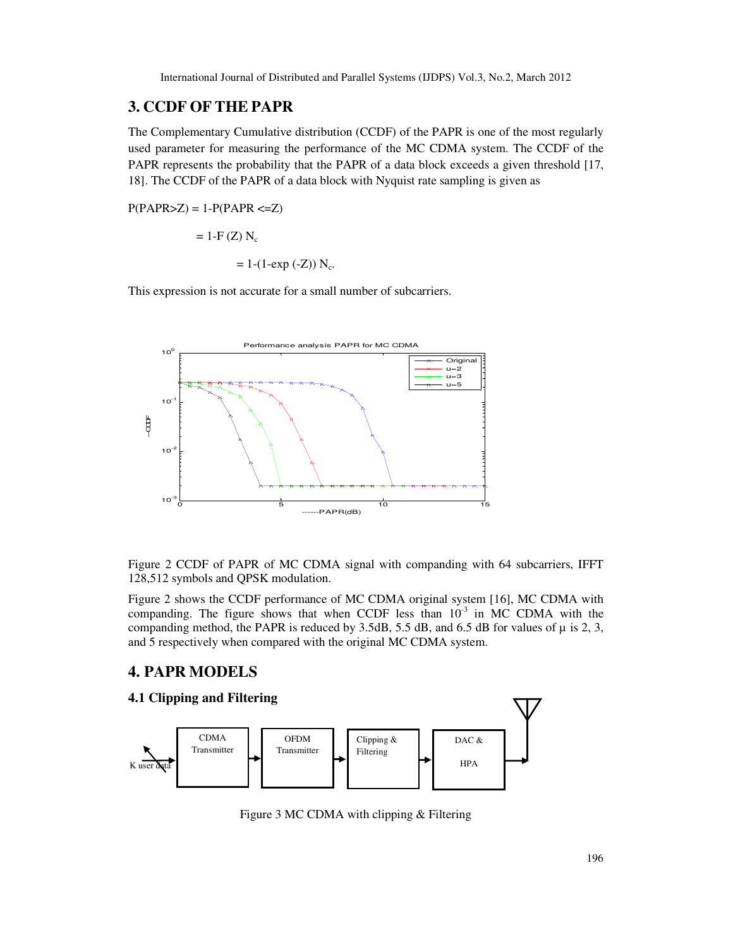# **3. CCDF OF THE PAPR**

The Complementary Cumulative distribution (CCDF) of the PAPR is one of the most regularly used parameter for measuring the performance of the MC CDMA system. The CCDF of the PAPR represents the probability that the PAPR of a data block exceeds a given threshold [17, 18]. The CCDF of the PAPR of a data block with Nyquist rate sampling is given as

 $P(PAPR > Z) = 1-P(PAPR <=Z)$ 

 $= 1-F(Z) N_c$ 

 $= 1-(1-exp(-Z)) N_c$ .

This expression is not accurate for a small number of subcarriers.



Figure 2 CCDF of PAPR of MC CDMA signal with companding with 64 subcarriers, IFFT 128,512 symbols and QPSK modulation.

Figure 2 shows the CCDF performance of MC CDMA original system [16], MC CDMA with companding. The figure shows that when CCDF less than  $10^{-3}$  in MC CDMA with the companding method, the PAPR is reduced by 3.5dB, 5.5 dB, and 6.5 dB for values of  $\mu$  is 2, 3, and 5 respectively when compared with the original MC CDMA system.

# **4. PAPR MODELS**



Figure 3 MC CDMA with clipping & Filtering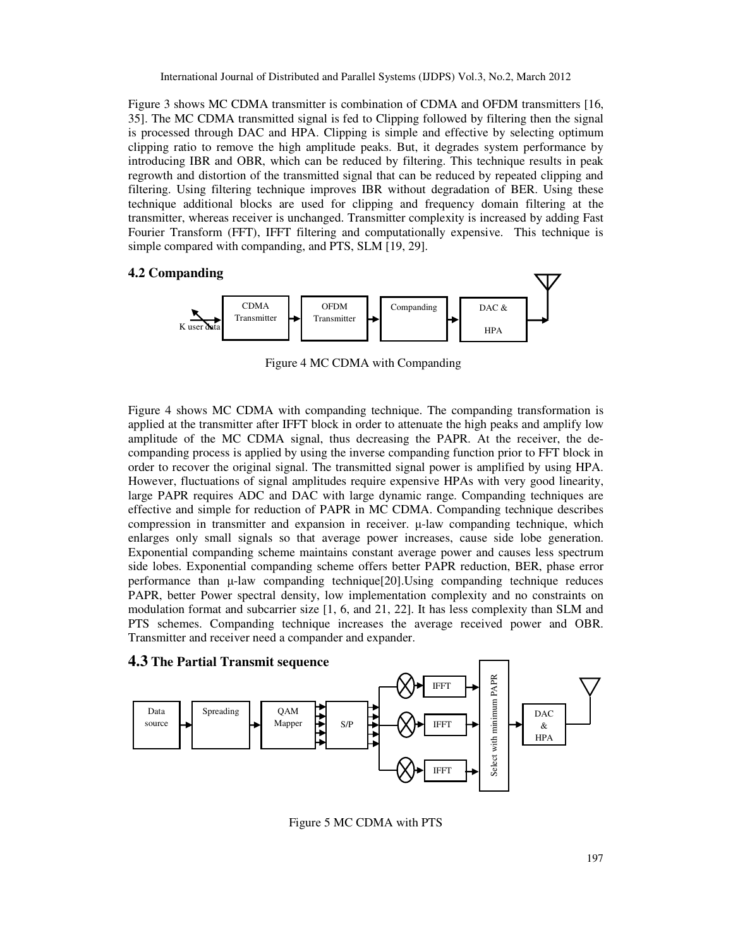Figure 3 shows MC CDMA transmitter is combination of CDMA and OFDM transmitters [16, 35]. The MC CDMA transmitted signal is fed to Clipping followed by filtering then the signal is processed through DAC and HPA. Clipping is simple and effective by selecting optimum clipping ratio to remove the high amplitude peaks. But, it degrades system performance by introducing IBR and OBR, which can be reduced by filtering. This technique results in peak regrowth and distortion of the transmitted signal that can be reduced by repeated clipping and filtering. Using filtering technique improves IBR without degradation of BER. Using these technique additional blocks are used for clipping and frequency domain filtering at the transmitter, whereas receiver is unchanged. Transmitter complexity is increased by adding Fast Fourier Transform (FFT), IFFT filtering and computationally expensive. This technique is simple compared with companding, and PTS, SLM [19, 29].

#### **4.2 Companding**



Figure 4 MC CDMA with Companding

Figure 4 shows MC CDMA with companding technique. The companding transformation is applied at the transmitter after IFFT block in order to attenuate the high peaks and amplify low amplitude of the MC CDMA signal, thus decreasing the PAPR. At the receiver, the decompanding process is applied by using the inverse companding function prior to FFT block in order to recover the original signal. The transmitted signal power is amplified by using HPA. However, fluctuations of signal amplitudes require expensive HPAs with very good linearity, large PAPR requires ADC and DAC with large dynamic range. Companding techniques are effective and simple for reduction of PAPR in MC CDMA. Companding technique describes compression in transmitter and expansion in receiver. µ-law companding technique, which enlarges only small signals so that average power increases, cause side lobe generation. Exponential companding scheme maintains constant average power and causes less spectrum side lobes. Exponential companding scheme offers better PAPR reduction, BER, phase error performance than µ-law companding technique[20].Using companding technique reduces PAPR, better Power spectral density, low implementation complexity and no constraints on modulation format and subcarrier size [1, 6, and 21, 22]. It has less complexity than SLM and PTS schemes. Companding technique increases the average received power and OBR. Transmitter and receiver need a compander and expander.



Figure 5 MC CDMA with PTS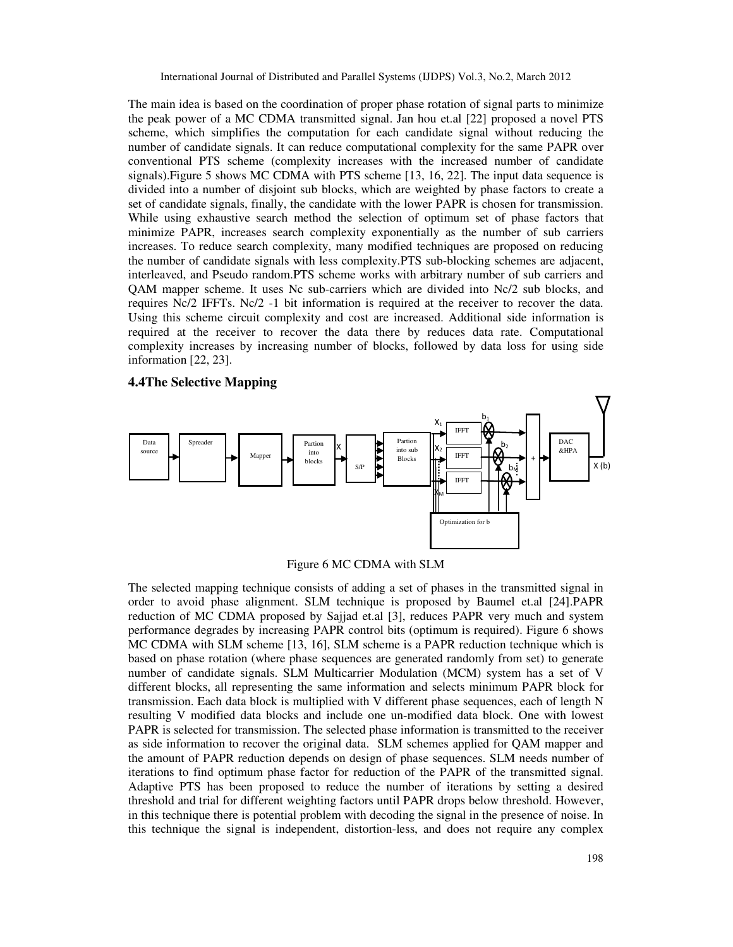The main idea is based on the coordination of proper phase rotation of signal parts to minimize the peak power of a MC CDMA transmitted signal. Jan hou et.al [22] proposed a novel PTS scheme, which simplifies the computation for each candidate signal without reducing the number of candidate signals. It can reduce computational complexity for the same PAPR over conventional PTS scheme (complexity increases with the increased number of candidate signals).Figure 5 shows MC CDMA with PTS scheme [13, 16, 22]. The input data sequence is divided into a number of disjoint sub blocks, which are weighted by phase factors to create a set of candidate signals, finally, the candidate with the lower PAPR is chosen for transmission. While using exhaustive search method the selection of optimum set of phase factors that minimize PAPR, increases search complexity exponentially as the number of sub carriers increases. To reduce search complexity, many modified techniques are proposed on reducing the number of candidate signals with less complexity.PTS sub-blocking schemes are adjacent, interleaved, and Pseudo random.PTS scheme works with arbitrary number of sub carriers and QAM mapper scheme. It uses Nc sub-carriers which are divided into Nc/2 sub blocks, and requires Nc/2 IFFTs. Nc/2 -1 bit information is required at the receiver to recover the data. Using this scheme circuit complexity and cost are increased. Additional side information is required at the receiver to recover the data there by reduces data rate. Computational complexity increases by increasing number of blocks, followed by data loss for using side information [22, 23].

#### **4.4The Selective Mapping**



Figure 6 MC CDMA with SLM

The selected mapping technique consists of adding a set of phases in the transmitted signal in order to avoid phase alignment. SLM technique is proposed by Baumel et.al [24].PAPR reduction of MC CDMA proposed by Sajjad et.al [3], reduces PAPR very much and system performance degrades by increasing PAPR control bits (optimum is required). Figure 6 shows MC CDMA with SLM scheme [13, 16], SLM scheme is a PAPR reduction technique which is based on phase rotation (where phase sequences are generated randomly from set) to generate number of candidate signals. SLM Multicarrier Modulation (MCM) system has a set of V different blocks, all representing the same information and selects minimum PAPR block for transmission. Each data block is multiplied with V different phase sequences, each of length N resulting V modified data blocks and include one un-modified data block. One with lowest PAPR is selected for transmission. The selected phase information is transmitted to the receiver as side information to recover the original data. SLM schemes applied for QAM mapper and the amount of PAPR reduction depends on design of phase sequences. SLM needs number of iterations to find optimum phase factor for reduction of the PAPR of the transmitted signal. Adaptive PTS has been proposed to reduce the number of iterations by setting a desired threshold and trial for different weighting factors until PAPR drops below threshold. However, in this technique there is potential problem with decoding the signal in the presence of noise. In this technique the signal is independent, distortion-less, and does not require any complex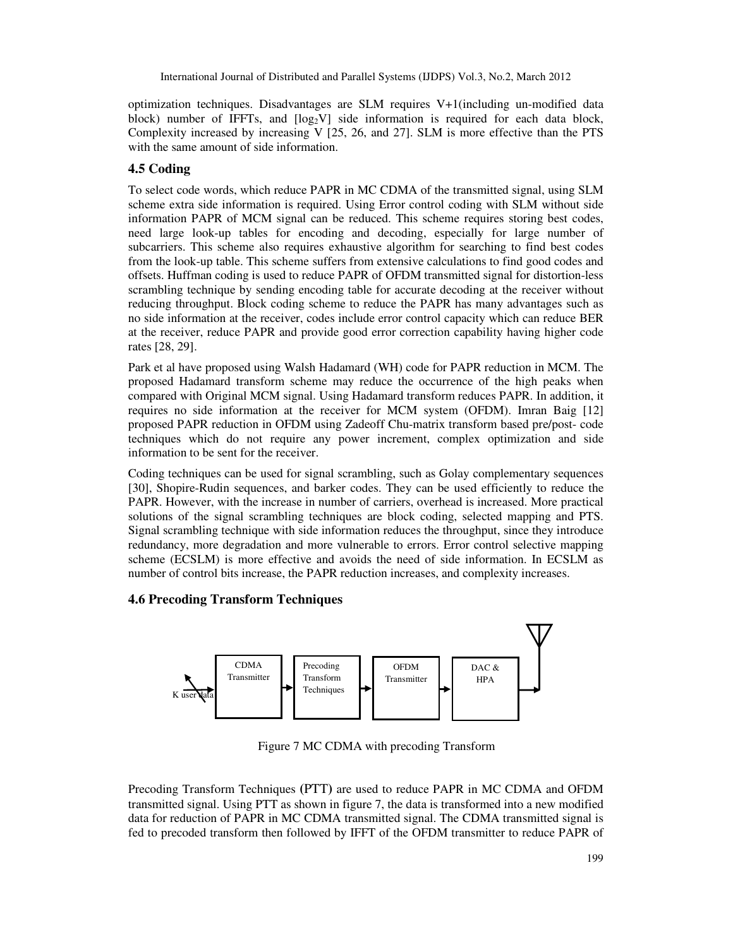optimization techniques. Disadvantages are SLM requires V+1(including un-modified data block) number of IFFTs, and  $[log_2 V]$  side information is required for each data block, Complexity increased by increasing V [25, 26, and 27]. SLM is more effective than the PTS with the same amount of side information.

# **4.5 Coding**

To select code words, which reduce PAPR in MC CDMA of the transmitted signal, using SLM scheme extra side information is required. Using Error control coding with SLM without side information PAPR of MCM signal can be reduced. This scheme requires storing best codes, need large look-up tables for encoding and decoding, especially for large number of subcarriers. This scheme also requires exhaustive algorithm for searching to find best codes from the look-up table. This scheme suffers from extensive calculations to find good codes and offsets. Huffman coding is used to reduce PAPR of OFDM transmitted signal for distortion-less scrambling technique by sending encoding table for accurate decoding at the receiver without reducing throughput. Block coding scheme to reduce the PAPR has many advantages such as no side information at the receiver, codes include error control capacity which can reduce BER at the receiver, reduce PAPR and provide good error correction capability having higher code rates [28, 29].

Park et al have proposed using Walsh Hadamard (WH) code for PAPR reduction in MCM. The proposed Hadamard transform scheme may reduce the occurrence of the high peaks when compared with Original MCM signal. Using Hadamard transform reduces PAPR. In addition, it requires no side information at the receiver for MCM system (OFDM). Imran Baig [12] proposed PAPR reduction in OFDM using Zadeoff Chu-matrix transform based pre/post- code techniques which do not require any power increment, complex optimization and side information to be sent for the receiver.

Coding techniques can be used for signal scrambling, such as Golay complementary sequences [30], Shopire-Rudin sequences, and barker codes. They can be used efficiently to reduce the PAPR. However, with the increase in number of carriers, overhead is increased. More practical solutions of the signal scrambling techniques are block coding, selected mapping and PTS. Signal scrambling technique with side information reduces the throughput, since they introduce redundancy, more degradation and more vulnerable to errors. Error control selective mapping scheme (ECSLM) is more effective and avoids the need of side information. In ECSLM as number of control bits increase, the PAPR reduction increases, and complexity increases.

# **4.6 Precoding Transform Techniques**



Figure 7 MC CDMA with precoding Transform

Precoding Transform Techniques **(**PTT**)** are used to reduce PAPR in MC CDMA and OFDM transmitted signal. Using PTT as shown in figure 7, the data is transformed into a new modified data for reduction of PAPR in MC CDMA transmitted signal. The CDMA transmitted signal is fed to precoded transform then followed by IFFT of the OFDM transmitter to reduce PAPR of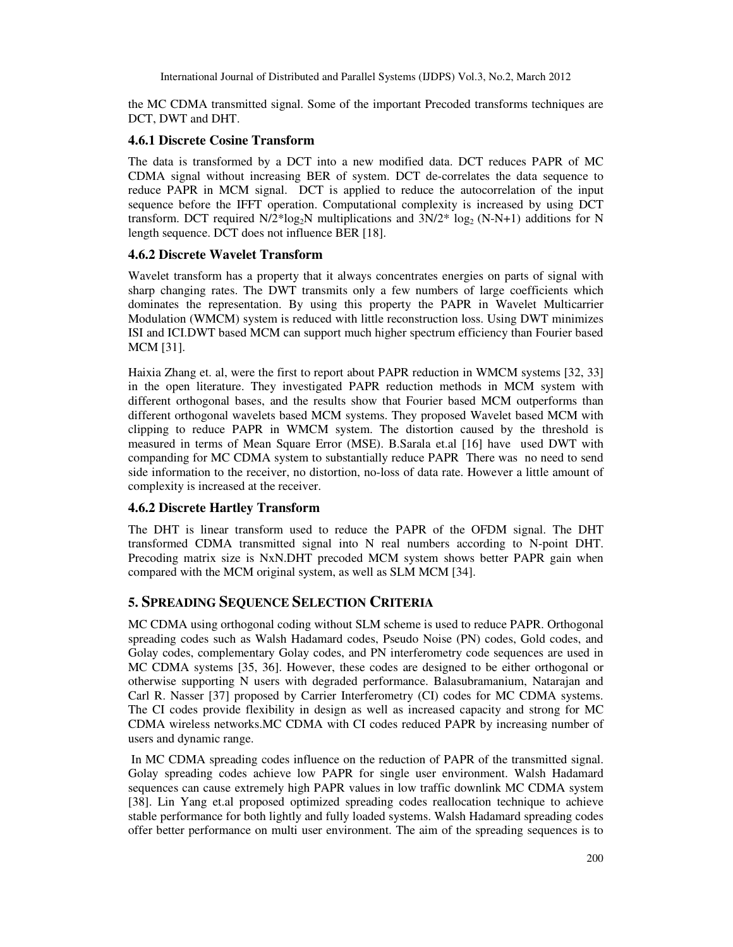the MC CDMA transmitted signal. Some of the important Precoded transforms techniques are DCT, DWT and DHT.

#### **4.6.1 Discrete Cosine Transform**

The data is transformed by a DCT into a new modified data. DCT reduces PAPR of MC CDMA signal without increasing BER of system. DCT de-correlates the data sequence to reduce PAPR in MCM signal. DCT is applied to reduce the autocorrelation of the input sequence before the IFFT operation. Computational complexity is increased by using DCT transform. DCT required  $N/2$ <sup>\*</sup>log<sub>2</sub>N multiplications and  $3N/2$ <sup>\*</sup> log<sub>2</sub> (N-N+1) additions for N length sequence. DCT does not influence BER [18].

#### **4.6.2 Discrete Wavelet Transform**

Wavelet transform has a property that it always concentrates energies on parts of signal with sharp changing rates. The DWT transmits only a few numbers of large coefficients which dominates the representation. By using this property the PAPR in Wavelet Multicarrier Modulation (WMCM) system is reduced with little reconstruction loss. Using DWT minimizes ISI and ICI.DWT based MCM can support much higher spectrum efficiency than Fourier based MCM [31].

Haixia Zhang et. al, were the first to report about PAPR reduction in WMCM systems [32, 33] in the open literature. They investigated PAPR reduction methods in MCM system with different orthogonal bases, and the results show that Fourier based MCM outperforms than different orthogonal wavelets based MCM systems. They proposed Wavelet based MCM with clipping to reduce PAPR in WMCM system. The distortion caused by the threshold is measured in terms of Mean Square Error (MSE). B.Sarala et.al [16] have used DWT with companding for MC CDMA system to substantially reduce PAPR There was no need to send side information to the receiver, no distortion, no-loss of data rate. However a little amount of complexity is increased at the receiver.

#### **4.6.2 Discrete Hartley Transform**

The DHT is linear transform used to reduce the PAPR of the OFDM signal. The DHT transformed CDMA transmitted signal into N real numbers according to N-point DHT. Precoding matrix size is NxN.DHT precoded MCM system shows better PAPR gain when compared with the MCM original system, as well as SLM MCM [34].

# **5. SPREADING SEQUENCE SELECTION CRITERIA**

MC CDMA using orthogonal coding without SLM scheme is used to reduce PAPR. Orthogonal spreading codes such as Walsh Hadamard codes, Pseudo Noise (PN) codes, Gold codes, and Golay codes, complementary Golay codes, and PN interferometry code sequences are used in MC CDMA systems [35, 36]. However, these codes are designed to be either orthogonal or otherwise supporting N users with degraded performance. Balasubramanium, Natarajan and Carl R. Nasser [37] proposed by Carrier Interferometry (CI) codes for MC CDMA systems. The CI codes provide flexibility in design as well as increased capacity and strong for MC CDMA wireless networks.MC CDMA with CI codes reduced PAPR by increasing number of users and dynamic range.

 In MC CDMA spreading codes influence on the reduction of PAPR of the transmitted signal. Golay spreading codes achieve low PAPR for single user environment. Walsh Hadamard sequences can cause extremely high PAPR values in low traffic downlink MC CDMA system [38]. Lin Yang et.al proposed optimized spreading codes reallocation technique to achieve stable performance for both lightly and fully loaded systems. Walsh Hadamard spreading codes offer better performance on multi user environment. The aim of the spreading sequences is to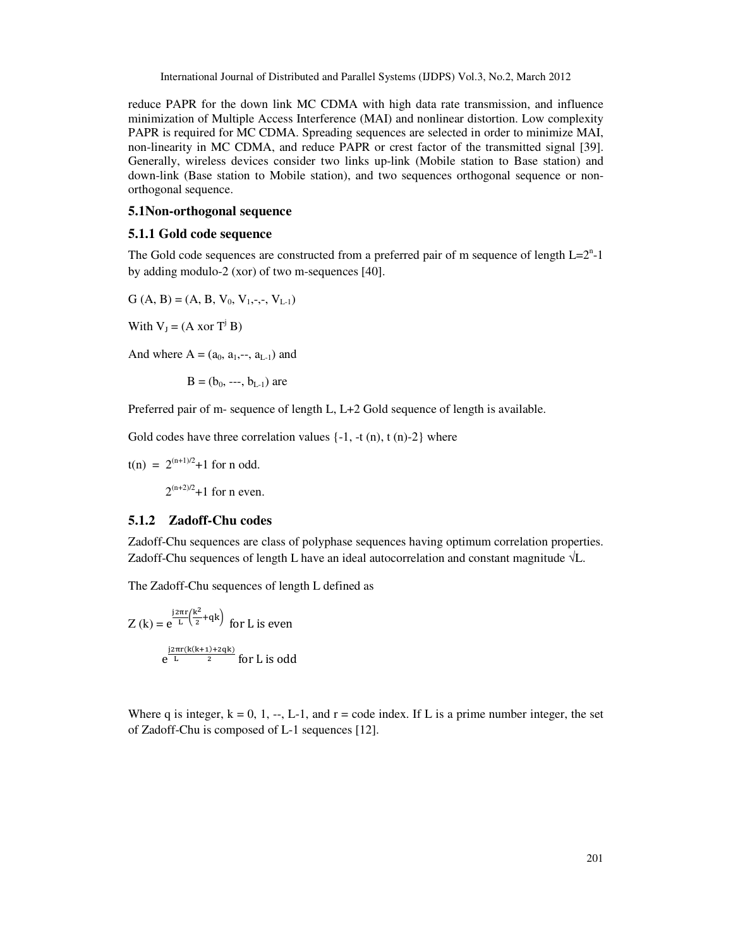reduce PAPR for the down link MC CDMA with high data rate transmission, and influence minimization of Multiple Access Interference (MAI) and nonlinear distortion. Low complexity PAPR is required for MC CDMA. Spreading sequences are selected in order to minimize MAI, non-linearity in MC CDMA, and reduce PAPR or crest factor of the transmitted signal [39]. Generally, wireless devices consider two links up-link (Mobile station to Base station) and down-link (Base station to Mobile station), and two sequences orthogonal sequence or nonorthogonal sequence.

#### **5.1Non-orthogonal sequence**

#### **5.1.1 Gold code sequence**

The Gold code sequences are constructed from a preferred pair of m sequence of length  $L=2<sup>n</sup>$ -1 by adding modulo-2 (xor) of two m-sequences [40].

$$
G (A, B) = (A, B, V_0, V_1, \text{-}, \text{-}, V_{L-1})
$$

With  $V_J = (A \text{ xor } T^j B)$ 

And where  $A = (a_0, a_1, \dots, a_{L-1})$  and

 $B = (b_0, -1, b_{L-1})$  are

Preferred pair of m- sequence of length L, L+2 Gold sequence of length is available.

Gold codes have three correlation values  $\{-1, -t$  (n),  $t$  (n)-2} where

 $t(n) = 2^{(n+1)/2} + 1$  for n odd.

 $2^{(n+2)/2}+1$  for n even.

#### **5.1.2 Zadoff-Chu codes**

Zadoff-Chu sequences are class of polyphase sequences having optimum correlation properties. Zadoff-Chu sequences of length L have an ideal autocorrelation and constant magnitude  $\sqrt{L}$ .

The Zadoff-Chu sequences of length L defined as

$$
Z(k) = e^{\frac{j2\pi r}{L} \left(\frac{k^2}{2} + qk\right)}
$$
 for L is even  
 
$$
e^{\frac{j2\pi r(k(k+1) + 2qk)}{L}}
$$
 for L is odd

Where q is integer,  $k = 0, 1, -1$ , and  $r = \text{code index}$ . If L is a prime number integer, the set of Zadoff-Chu is composed of L-1 sequences [12].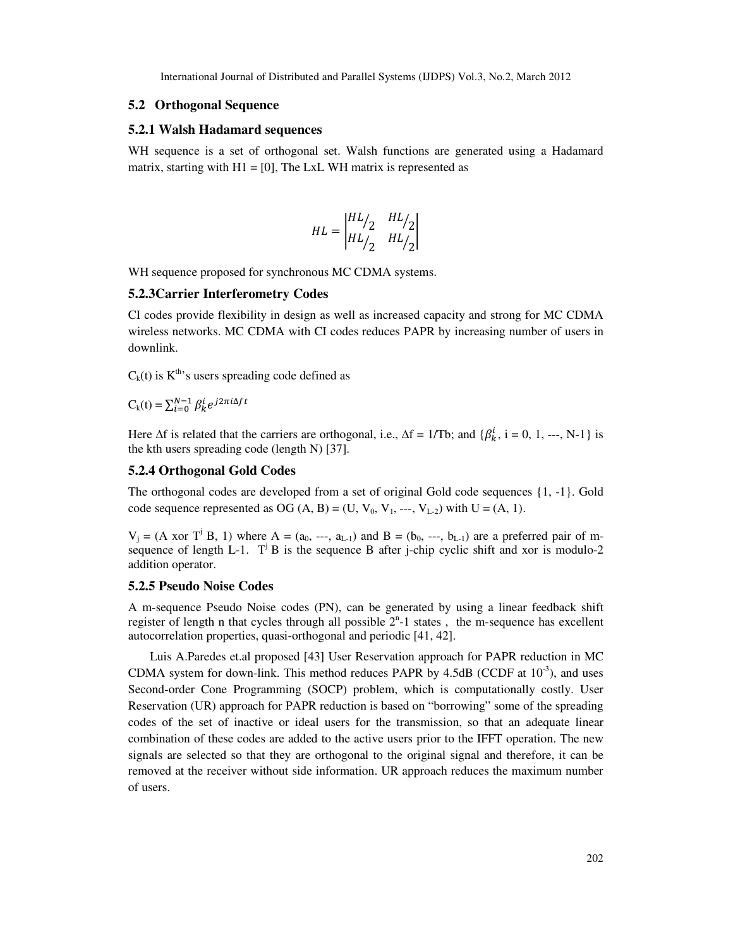#### **5.2 Orthogonal Sequence**

#### **5.2.1 Walsh Hadamard sequences**

WH sequence is a set of orthogonal set. Walsh functions are generated using a Hadamard matrix, starting with  $H1 = [0]$ , The LxL WH matrix is represented as

$$
HL = \begin{vmatrix} HL/2 & HL/2 \\ HL/2 & HL/2 \end{vmatrix}
$$

WH sequence proposed for synchronous MC CDMA systems.

#### **5.2.3Carrier Interferometry Codes**

CI codes provide flexibility in design as well as increased capacity and strong for MC CDMA wireless networks. MC CDMA with CI codes reduces PAPR by increasing number of users in downlink.

 $C_k(t)$  is  $K^{th}$ 's users spreading code defined as

$$
C_k(t) = \sum_{i=0}^{N-1} \beta_k^i e^{j2\pi i \Delta ft}
$$

Here  $\Delta f$  is related that the carriers are orthogonal, i.e.,  $\Delta f = 1/Tb$ ; and  $\{\beta_k^i, i = 0, 1, \dots, N-1\}$  is the kth users spreading code (length N) [37].

#### **5.2.4 Orthogonal Gold Codes**

The orthogonal codes are developed from a set of original Gold code sequences {1, -1}. Gold code sequence represented as OG  $(A, B) = (U, V_0, V_1, \dots, V_{L-2})$  with  $U = (A, 1)$ .

 $V_j = (A \text{ xor } T^j B, 1)$  where  $A = (a_0, \dots, a_{L-1})$  and  $B = (b_0, \dots, b_{L-1})$  are a preferred pair of msequence of length L-1. T<sup>j</sup> B is the sequence B after j-chip cyclic shift and xor is modulo-2 addition operator.

#### **5.2.5 Pseudo Noise Codes**

A m-sequence Pseudo Noise codes (PN), can be generated by using a linear feedback shift register of length n that cycles through all possible  $2<sup>n</sup>$ -1 states, the m-sequence has excellent autocorrelation properties, quasi-orthogonal and periodic [41, 42].

 Luis A.Paredes et.al proposed [43] User Reservation approach for PAPR reduction in MC CDMA system for down-link. This method reduces PAPR by  $4.5dB$  (CCDF at  $10^{-3}$ ), and uses Second-order Cone Programming (SOCP) problem, which is computationally costly. User Reservation (UR) approach for PAPR reduction is based on "borrowing" some of the spreading codes of the set of inactive or ideal users for the transmission, so that an adequate linear combination of these codes are added to the active users prior to the IFFT operation. The new signals are selected so that they are orthogonal to the original signal and therefore, it can be removed at the receiver without side information. UR approach reduces the maximum number of users.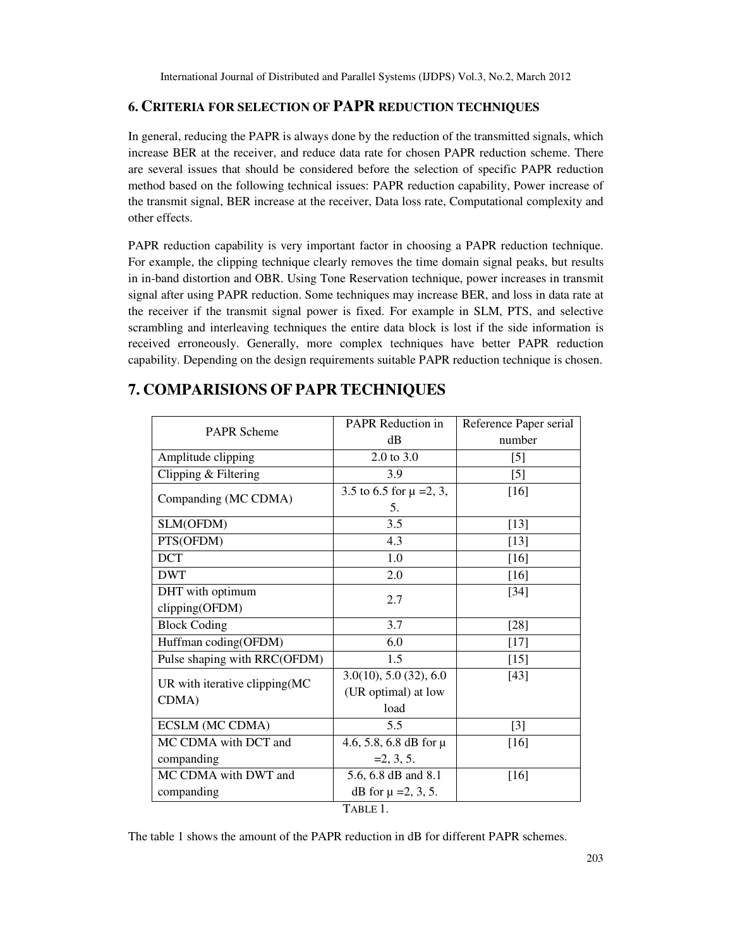# **6. CRITERIA FOR SELECTION OF PAPR REDUCTION TECHNIQUES**

In general, reducing the PAPR is always done by the reduction of the transmitted signals, which increase BER at the receiver, and reduce data rate for chosen PAPR reduction scheme. There are several issues that should be considered before the selection of specific PAPR reduction method based on the following technical issues: PAPR reduction capability, Power increase of the transmit signal, BER increase at the receiver, Data loss rate, Computational complexity and other effects.

PAPR reduction capability is very important factor in choosing a PAPR reduction technique. For example, the clipping technique clearly removes the time domain signal peaks, but results in in-band distortion and OBR. Using Tone Reservation technique, power increases in transmit signal after using PAPR reduction. Some techniques may increase BER, and loss in data rate at the receiver if the transmit signal power is fixed. For example in SLM, PTS, and selective scrambling and interleaving techniques the entire data block is lost if the side information is received erroneously. Generally, more complex techniques have better PAPR reduction capability. Depending on the design requirements suitable PAPR reduction technique is chosen.

# **7. COMPARISIONS OF PAPR TECHNIQUES**

| <b>PAPR Scheme</b>                     | <b>PAPR Reduction in</b>      | Reference Paper serial |
|----------------------------------------|-------------------------------|------------------------|
|                                        | dB                            | number                 |
| Amplitude clipping                     | 2.0 to 3.0                    | $[5]$                  |
| Clipping & Filtering                   | 3.9                           | $[5]$                  |
| Companding (MC CDMA)                   | 3.5 to 6.5 for $\mu = 2, 3$ , | $[16]$                 |
|                                        | 5.                            |                        |
| SLM(OFDM)                              | 3.5                           | $[13]$                 |
| PTS(OFDM)                              | 4.3                           | $[13]$                 |
| <b>DCT</b>                             | 1.0                           | $[16]$                 |
| <b>DWT</b>                             | 2.0                           | $[16]$                 |
| DHT with optimum                       | 2.7                           | $[34]$                 |
| clipping(OFDM)                         |                               |                        |
| <b>Block Coding</b>                    | 3.7                           | $[28]$                 |
| Huffman coding(OFDM)                   | 6.0                           | $[17]$                 |
| Pulse shaping with RRC(OFDM)           | 1.5                           | $[15]$                 |
| UR with iterative clipping(MC<br>CDMA) | $3.0(10)$ , $5.0(32)$ , 6.0   | $[43]$                 |
|                                        | (UR optimal) at low           |                        |
|                                        | load                          |                        |
| ECSLM (MC CDMA)                        | 5.5                           | $[3]$                  |
| MC CDMA with DCT and                   | 4.6, 5.8, 6.8 dB for $\mu$    | [16]                   |
| companding                             | $=2, 3, 5.$                   |                        |
| MC CDMA with DWT and                   | 5.6, 6.8 dB and 8.1           | $[16]$                 |
| companding                             | dB for $\mu = 2, 3, 5$ .      |                        |
|                                        | TARI F 1                      |                        |

The table 1 shows the amount of the PAPR reduction in dB for different PAPR schemes.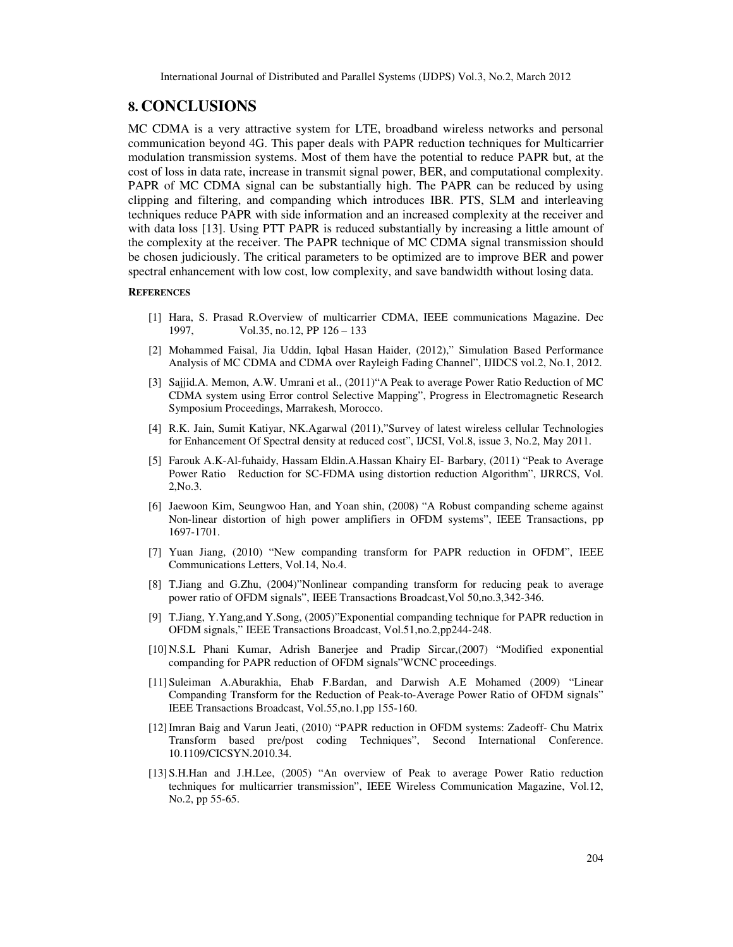# **8. CONCLUSIONS**

MC CDMA is a very attractive system for LTE, broadband wireless networks and personal communication beyond 4G. This paper deals with PAPR reduction techniques for Multicarrier modulation transmission systems. Most of them have the potential to reduce PAPR but, at the cost of loss in data rate, increase in transmit signal power, BER, and computational complexity. PAPR of MC CDMA signal can be substantially high. The PAPR can be reduced by using clipping and filtering, and companding which introduces IBR. PTS, SLM and interleaving techniques reduce PAPR with side information and an increased complexity at the receiver and with data loss [13]. Using PTT PAPR is reduced substantially by increasing a little amount of the complexity at the receiver. The PAPR technique of MC CDMA signal transmission should be chosen judiciously. The critical parameters to be optimized are to improve BER and power spectral enhancement with low cost, low complexity, and save bandwidth without losing data.

#### **REFERENCES**

- [1] Hara, S. Prasad R.Overview of multicarrier CDMA, IEEE communications Magazine. Dec 1997, Vol.35, no.12, PP 126 – 133
- [2] Mohammed Faisal, Jia Uddin, Iqbal Hasan Haider, (2012)," Simulation Based Performance Analysis of MC CDMA and CDMA over Rayleigh Fading Channel", IJIDCS vol.2, No.1, 2012.
- [3] Sajjid.A. Memon, A.W. Umrani et al., (2011)"A Peak to average Power Ratio Reduction of MC CDMA system using Error control Selective Mapping", Progress in Electromagnetic Research Symposium Proceedings, Marrakesh, Morocco.
- [4] R.K. Jain, Sumit Katiyar, NK.Agarwal (2011),"Survey of latest wireless cellular Technologies for Enhancement Of Spectral density at reduced cost", IJCSI, Vol.8, issue 3, No.2, May 2011.
- [5] Farouk A.K-Al-fuhaidy, Hassam Eldin.A.Hassan Khairy EI- Barbary, (2011) "Peak to Average Power Ratio Reduction for SC-FDMA using distortion reduction Algorithm", IJRRCS, Vol. 2,No.3.
- [6] Jaewoon Kim, Seungwoo Han, and Yoan shin, (2008) "A Robust companding scheme against Non-linear distortion of high power amplifiers in OFDM systems", IEEE Transactions, pp 1697-1701.
- [7] Yuan Jiang, (2010) "New companding transform for PAPR reduction in OFDM", IEEE Communications Letters, Vol.14, No.4.
- [8] T.Jiang and G.Zhu, (2004)"Nonlinear companding transform for reducing peak to average power ratio of OFDM signals", IEEE Transactions Broadcast,Vol 50,no.3,342-346.
- [9] T.Jiang, Y.Yang,and Y.Song, (2005)"Exponential companding technique for PAPR reduction in OFDM signals," IEEE Transactions Broadcast, Vol.51,no.2,pp244-248.
- [10]N.S.L Phani Kumar, Adrish Banerjee and Pradip Sircar,(2007) "Modified exponential companding for PAPR reduction of OFDM signals"WCNC proceedings.
- [11] Suleiman A.Aburakhia, Ehab F.Bardan, and Darwish A.E Mohamed (2009) "Linear Companding Transform for the Reduction of Peak-to-Average Power Ratio of OFDM signals" IEEE Transactions Broadcast, Vol.55,no.1,pp 155-160.
- [12]Imran Baig and Varun Jeati, (2010) "PAPR reduction in OFDM systems: Zadeoff- Chu Matrix Transform based pre/post coding Techniques", Second International Conference. 10.1109/CICSYN.2010.34.
- [13] S.H.Han and J.H.Lee, (2005) "An overview of Peak to average Power Ratio reduction techniques for multicarrier transmission", IEEE Wireless Communication Magazine, Vol.12, No.2, pp 55-65.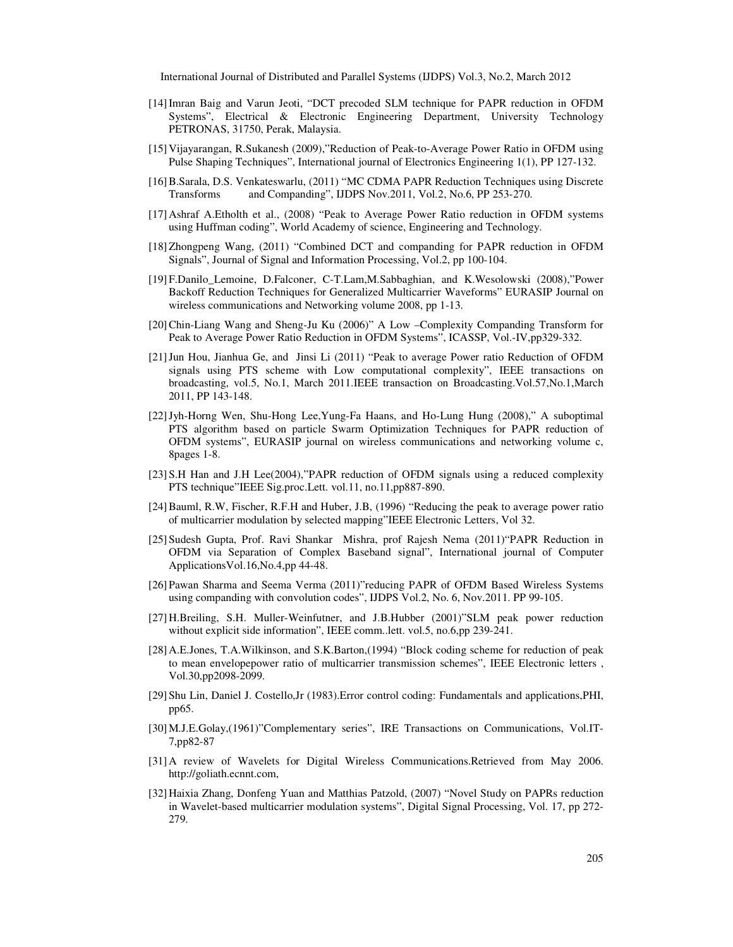- [14]Imran Baig and Varun Jeoti, "DCT precoded SLM technique for PAPR reduction in OFDM Systems", Electrical & Electronic Engineering Department, University Technology PETRONAS, 31750, Perak, Malaysia.
- [15]Vijayarangan, R.Sukanesh (2009),"Reduction of Peak-to-Average Power Ratio in OFDM using Pulse Shaping Techniques", International journal of Electronics Engineering 1(1), PP 127-132.
- [16]B.Sarala, D.S. Venkateswarlu, (2011) "MC CDMA PAPR Reduction Techniques using Discrete Transforms and Companding", IJDPS Nov.2011, Vol.2, No.6, PP 253-270.
- [17]Ashraf A.Etholth et al., (2008) "Peak to Average Power Ratio reduction in OFDM systems using Huffman coding", World Academy of science, Engineering and Technology.
- [18]Zhongpeng Wang, (2011) "Combined DCT and companding for PAPR reduction in OFDM Signals", Journal of Signal and Information Processing, Vol.2, pp 100-104.
- [19] F.Danilo\_Lemoine, D.Falconer, C-T.Lam,M.Sabbaghian, and K.Wesolowski (2008),"Power Backoff Reduction Techniques for Generalized Multicarrier Waveforms" EURASIP Journal on wireless communications and Networking volume 2008, pp 1-13.
- [20]Chin-Liang Wang and Sheng-Ju Ku (2006)" A Low –Complexity Companding Transform for Peak to Average Power Ratio Reduction in OFDM Systems", ICASSP, Vol.-IV,pp329-332.
- [21]Jun Hou, Jianhua Ge, and Jinsi Li (2011) "Peak to average Power ratio Reduction of OFDM signals using PTS scheme with Low computational complexity", IEEE transactions on broadcasting, vol.5, No.1, March 2011.IEEE transaction on Broadcasting.Vol.57,No.1,March 2011, PP 143-148.
- [22]Jyh-Horng Wen, Shu-Hong Lee,Yung-Fa Haans, and Ho-Lung Hung (2008)," A suboptimal PTS algorithm based on particle Swarm Optimization Techniques for PAPR reduction of OFDM systems", EURASIP journal on wireless communications and networking volume c, 8pages 1-8.
- [23] S.H Han and J.H Lee(2004),"PAPR reduction of OFDM signals using a reduced complexity PTS technique"IEEE Sig.proc.Lett. vol.11, no.11,pp887-890.
- [24]Bauml, R.W, Fischer, R.F.H and Huber, J.B, (1996) "Reducing the peak to average power ratio of multicarrier modulation by selected mapping"IEEE Electronic Letters, Vol 32.
- [25] Sudesh Gupta, Prof. Ravi Shankar Mishra, prof Rajesh Nema (2011)"PAPR Reduction in OFDM via Separation of Complex Baseband signal", International journal of Computer ApplicationsVol.16,No.4,pp 44-48.
- [26] Pawan Sharma and Seema Verma (2011)"reducing PAPR of OFDM Based Wireless Systems using companding with convolution codes", IJDPS Vol.2, No. 6, Nov.2011. PP 99-105.
- [27]H.Breiling, S.H. Muller-Weinfutner, and J.B.Hubber (2001)"SLM peak power reduction without explicit side information", IEEE comm..lett. vol.5, no.6,pp 239-241.
- [28]A.E.Jones, T.A.Wilkinson, and S.K.Barton,(1994) "Block coding scheme for reduction of peak to mean envelopepower ratio of multicarrier transmission schemes", IEEE Electronic letters , Vol.30,pp2098-2099.
- [29] Shu Lin, Daniel J. Costello,Jr (1983).Error control coding: Fundamentals and applications,PHI, pp65.
- [30]M.J.E.Golay,(1961)"Complementary series", IRE Transactions on Communications, Vol.IT-7,pp82-87
- [31]A review of Wavelets for Digital Wireless Communications.Retrieved from May 2006. http://goliath.ecnnt.com,
- [32]Haixia Zhang, Donfeng Yuan and Matthias Patzold, (2007) "Novel Study on PAPRs reduction in Wavelet-based multicarrier modulation systems", Digital Signal Processing, Vol. 17, pp 272- 279.